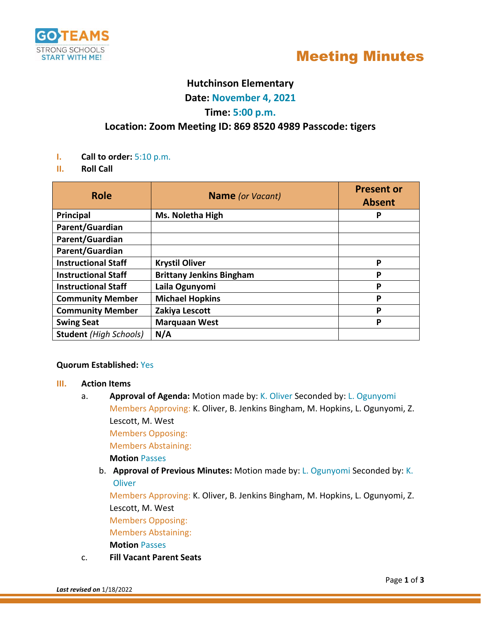



# **Hutchinson Elementary**

**Date: November 4, 2021**

# **Time: 5:00 p.m.**

# **Location: Zoom Meeting ID: 869 8520 4989 Passcode: tigers**

- **I. Call to order:** 5:10 p.m.
- **II. Roll Call**

| <b>Role</b>                   | <b>Name</b> (or Vacant)         | <b>Present or</b><br><b>Absent</b> |
|-------------------------------|---------------------------------|------------------------------------|
| Principal                     | <b>Ms. Noletha High</b>         | P                                  |
| Parent/Guardian               |                                 |                                    |
| Parent/Guardian               |                                 |                                    |
| Parent/Guardian               |                                 |                                    |
| <b>Instructional Staff</b>    | <b>Krystil Oliver</b>           | P                                  |
| <b>Instructional Staff</b>    | <b>Brittany Jenkins Bingham</b> | Ρ                                  |
| <b>Instructional Staff</b>    | Laila Ogunyomi                  | P                                  |
| <b>Community Member</b>       | <b>Michael Hopkins</b>          | P                                  |
| <b>Community Member</b>       | Zakiya Lescott                  | P                                  |
| <b>Swing Seat</b>             | <b>Marquaan West</b>            | P                                  |
| <b>Student (High Schools)</b> | N/A                             |                                    |

## **Quorum Established:** Yes

#### **III. Action Items**

a. **Approval of Agenda:** Motion made by: K. Oliver Seconded by: L. Ogunyomi Members Approving: K. Oliver, B. Jenkins Bingham, M. Hopkins, L. Ogunyomi, Z. Lescott, M. West

Members Opposing:

Members Abstaining:

**Motion** Passes

b. **Approval of Previous Minutes:** Motion made by: L. Ogunyomi Seconded by: K. **Oliver** 

Members Approving: K. Oliver, B. Jenkins Bingham, M. Hopkins, L. Ogunyomi, Z. Lescott, M. West

Members Opposing:

Members Abstaining:

**Motion** Passes

c. **Fill Vacant Parent Seats**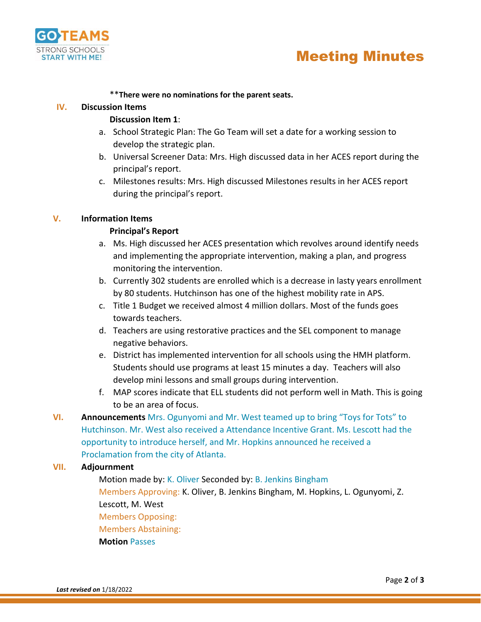



#### \*\***There were no nominations for the parent seats.**

#### **IV. Discussion Items**

## **Discussion Item 1**:

- a. School Strategic Plan: The Go Team will set a date for a working session to develop the strategic plan.
- b. Universal Screener Data: Mrs. High discussed data in her ACES report during the principal's report.
- c. Milestones results: Mrs. High discussed Milestones results in her ACES report during the principal's report.

## **V. Information Items**

## **Principal's Report**

- a. Ms. High discussed her ACES presentation which revolves around identify needs and implementing the appropriate intervention, making a plan, and progress monitoring the intervention.
- b. Currently 302 students are enrolled which is a decrease in lasty years enrollment by 80 students. Hutchinson has one of the highest mobility rate in APS.
- c. Title 1 Budget we received almost 4 million dollars. Most of the funds goes towards teachers.
- d. Teachers are using restorative practices and the SEL component to manage negative behaviors.
- e. District has implemented intervention for all schools using the HMH platform. Students should use programs at least 15 minutes a day. Teachers will also develop mini lessons and small groups during intervention.
- f. MAP scores indicate that ELL students did not perform well in Math. This is going to be an area of focus.
- **VI. Announcements** Mrs. Ogunyomi and Mr. West teamed up to bring "Toys for Tots" to Hutchinson. Mr. West also received a Attendance Incentive Grant. Ms. Lescott had the opportunity to introduce herself, and Mr. Hopkins announced he received a Proclamation from the city of Atlanta.

#### **VII. Adjournment**

Motion made by: K. Oliver Seconded by: B. Jenkins Bingham Members Approving: K. Oliver, B. Jenkins Bingham, M. Hopkins, L. Ogunyomi, Z. Lescott, M. West Members Opposing: Members Abstaining: **Motion** Passes